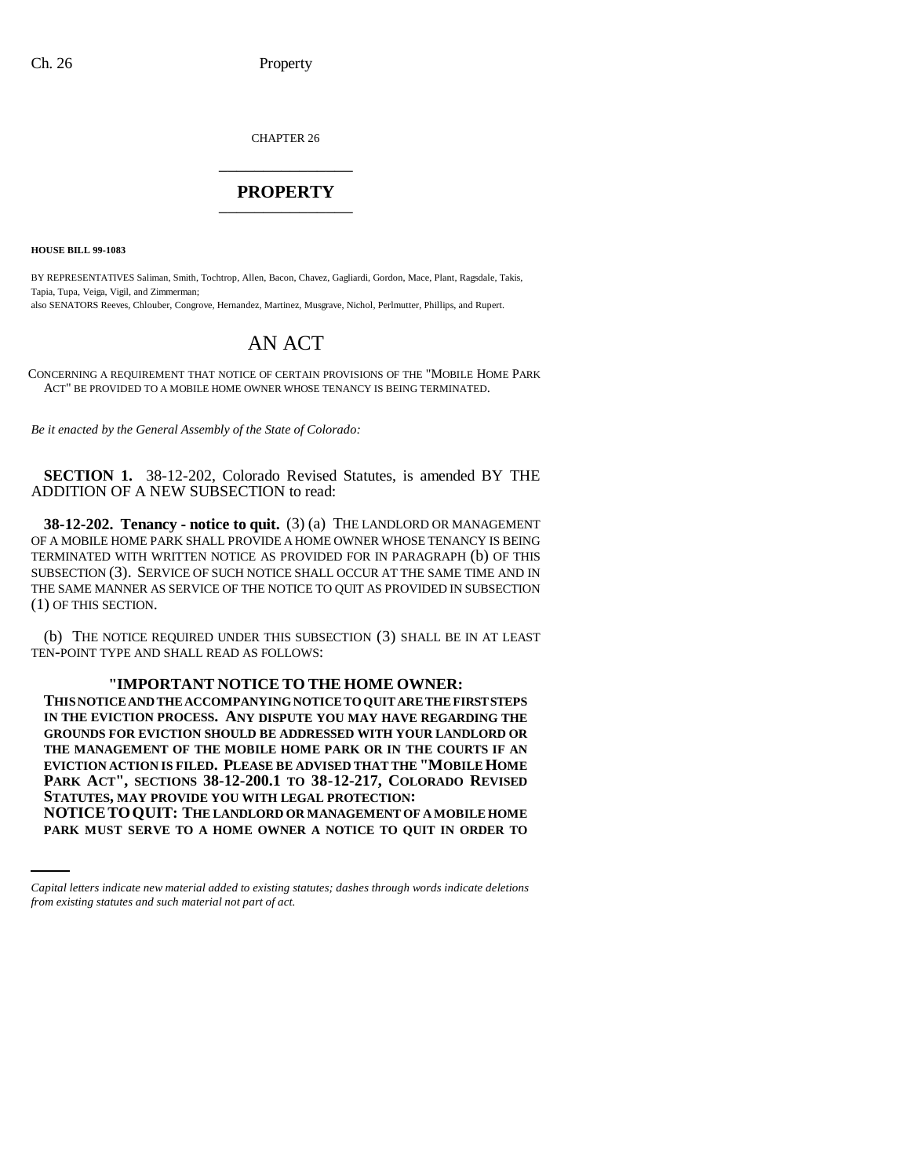CHAPTER 26 \_\_\_\_\_\_\_\_\_\_\_\_\_\_\_

## **PROPERTY** \_\_\_\_\_\_\_\_\_\_\_\_\_\_\_

**HOUSE BILL 99-1083** 

BY REPRESENTATIVES Saliman, Smith, Tochtrop, Allen, Bacon, Chavez, Gagliardi, Gordon, Mace, Plant, Ragsdale, Takis, Tapia, Tupa, Veiga, Vigil, and Zimmerman;

also SENATORS Reeves, Chlouber, Congrove, Hernandez, Martinez, Musgrave, Nichol, Perlmutter, Phillips, and Rupert.

## AN ACT

CONCERNING A REQUIREMENT THAT NOTICE OF CERTAIN PROVISIONS OF THE "MOBILE HOME PARK ACT" BE PROVIDED TO A MOBILE HOME OWNER WHOSE TENANCY IS BEING TERMINATED.

*Be it enacted by the General Assembly of the State of Colorado:*

**SECTION 1.** 38-12-202, Colorado Revised Statutes, is amended BY THE ADDITION OF A NEW SUBSECTION to read:

**38-12-202. Tenancy - notice to quit.** (3) (a) THE LANDLORD OR MANAGEMENT OF A MOBILE HOME PARK SHALL PROVIDE A HOME OWNER WHOSE TENANCY IS BEING TERMINATED WITH WRITTEN NOTICE AS PROVIDED FOR IN PARAGRAPH (b) OF THIS SUBSECTION (3). SERVICE OF SUCH NOTICE SHALL OCCUR AT THE SAME TIME AND IN THE SAME MANNER AS SERVICE OF THE NOTICE TO QUIT AS PROVIDED IN SUBSECTION (1) OF THIS SECTION.

(b) THE NOTICE REQUIRED UNDER THIS SUBSECTION (3) SHALL BE IN AT LEAST TEN-POINT TYPE AND SHALL READ AS FOLLOWS:

## **"IMPORTANT NOTICE TO THE HOME OWNER:**

 **STATUTES, MAY PROVIDE YOU WITH LEGAL PROTECTION: THIS NOTICE AND THE ACCOMPANYING NOTICE TO QUIT ARE THE FIRST STEPS IN THE EVICTION PROCESS. ANY DISPUTE YOU MAY HAVE REGARDING THE GROUNDS FOR EVICTION SHOULD BE ADDRESSED WITH YOUR LANDLORD OR THE MANAGEMENT OF THE MOBILE HOME PARK OR IN THE COURTS IF AN EVICTION ACTION IS FILED. PLEASE BE ADVISED THAT THE "MOBILE HOME PARK ACT", SECTIONS 38-12-200.1 TO 38-12-217, COLORADO REVISED NOTICETOQUIT: THE LANDLORD OR MANAGEMENT OF A MOBILE HOME PARK MUST SERVE TO A HOME OWNER A NOTICE TO QUIT IN ORDER TO**

*Capital letters indicate new material added to existing statutes; dashes through words indicate deletions from existing statutes and such material not part of act.*